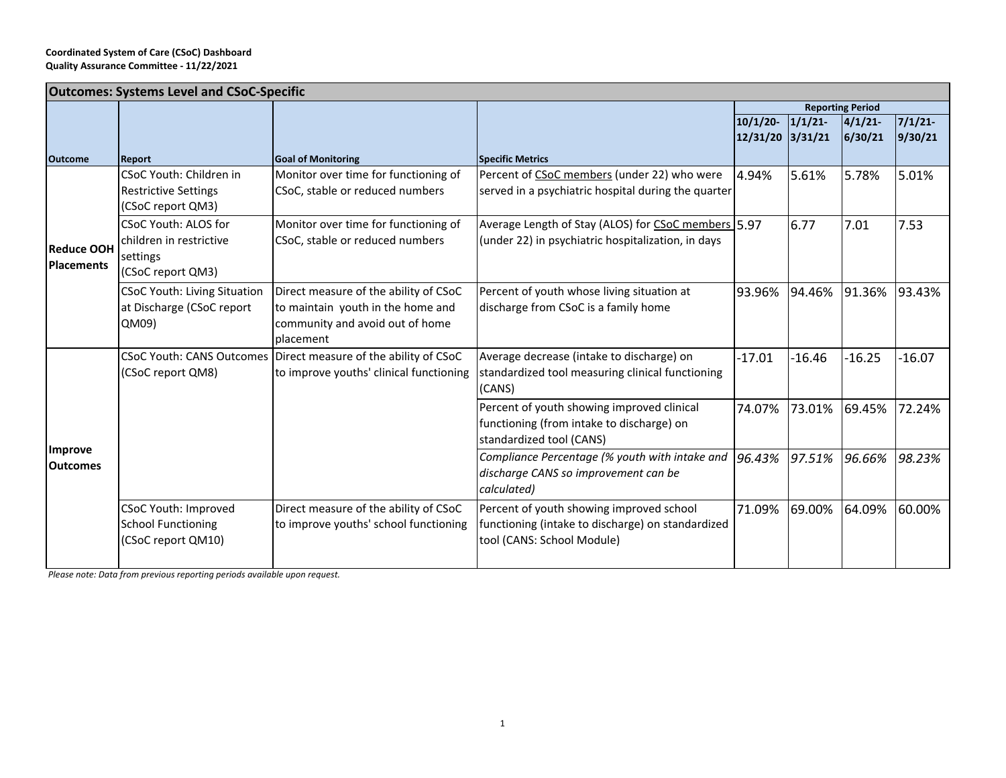| <b>Outcomes: Systems Level and CSoC-Specific</b> |                                     |                                                                 |                                                     |                  |                         |          |          |  |  |
|--------------------------------------------------|-------------------------------------|-----------------------------------------------------------------|-----------------------------------------------------|------------------|-------------------------|----------|----------|--|--|
|                                                  |                                     |                                                                 |                                                     |                  | <b>Reporting Period</b> |          |          |  |  |
|                                                  |                                     |                                                                 |                                                     | 10/1/20          | 1/1/21                  | 4/1/21   | 7/1/21   |  |  |
|                                                  |                                     |                                                                 |                                                     | 12/31/20 3/31/21 |                         | 6/30/21  | 9/30/21  |  |  |
| <b>Outcome</b>                                   | Report                              | <b>Goal of Monitoring</b>                                       | <b>Specific Metrics</b>                             |                  |                         |          |          |  |  |
| <b>Reduce OOH</b><br><b>Placements</b>           | CSoC Youth: Children in             | Monitor over time for functioning of                            | Percent of CSoC members (under 22) who were         | 4.94%            | 5.61%                   | 5.78%    | 5.01%    |  |  |
|                                                  | <b>Restrictive Settings</b>         | CSoC, stable or reduced numbers                                 | served in a psychiatric hospital during the quarter |                  |                         |          |          |  |  |
|                                                  | (CSoC report QM3)                   |                                                                 |                                                     |                  |                         |          |          |  |  |
|                                                  | <b>CSoC Youth: ALOS for</b>         | Monitor over time for functioning of                            | Average Length of Stay (ALOS) for CSoC members 5.97 |                  | 6.77                    | 7.01     | 7.53     |  |  |
|                                                  | children in restrictive             | CSoC, stable or reduced numbers                                 | (under 22) in psychiatric hospitalization, in days  |                  |                         |          |          |  |  |
|                                                  | settings                            |                                                                 |                                                     |                  |                         |          |          |  |  |
|                                                  | (CSoC report QM3)                   |                                                                 |                                                     |                  |                         |          |          |  |  |
|                                                  | <b>CSoC Youth: Living Situation</b> | Direct measure of the ability of CSoC                           | Percent of youth whose living situation at          | 93.96%           | 94.46%                  | 91.36%   | 93.43%   |  |  |
|                                                  | at Discharge (CSoC report           | to maintain youth in the home and                               | discharge from CSoC is a family home                |                  |                         |          |          |  |  |
|                                                  | QM09)                               | community and avoid out of home                                 |                                                     |                  |                         |          |          |  |  |
|                                                  |                                     | placement                                                       |                                                     |                  |                         |          |          |  |  |
|                                                  |                                     | CSoC Youth: CANS Outcomes Direct measure of the ability of CSoC | Average decrease (intake to discharge) on           | $-17.01$         | $-16.46$                | $-16.25$ | $-16.07$ |  |  |
|                                                  | (CSoC report QM8)                   | to improve youths' clinical functioning                         | standardized tool measuring clinical functioning    |                  |                         |          |          |  |  |
|                                                  |                                     |                                                                 | (CANS)                                              |                  |                         |          |          |  |  |
|                                                  |                                     |                                                                 | Percent of youth showing improved clinical          | 74.07%           | 73.01%                  | 69.45%   | 72.24%   |  |  |
|                                                  |                                     |                                                                 | functioning (from intake to discharge) on           |                  |                         |          |          |  |  |
| Improve                                          |                                     |                                                                 | standardized tool (CANS)                            |                  |                         |          |          |  |  |
| <b>Outcomes</b>                                  |                                     |                                                                 | Compliance Percentage (% youth with intake and      | 96.43%           | 97.51%                  | 96.66%   | 98.23%   |  |  |
|                                                  |                                     |                                                                 | discharge CANS so improvement can be                |                  |                         |          |          |  |  |
|                                                  |                                     |                                                                 | calculated)                                         |                  |                         |          |          |  |  |
|                                                  | CSoC Youth: Improved                | Direct measure of the ability of CSoC                           | Percent of youth showing improved school            | 71.09%           | 69.00%                  | 64.09%   | 60.00%   |  |  |
|                                                  | <b>School Functioning</b>           | to improve youths' school functioning                           | functioning (intake to discharge) on standardized   |                  |                         |          |          |  |  |
|                                                  | (CSoC report QM10)                  |                                                                 | tool (CANS: School Module)                          |                  |                         |          |          |  |  |
|                                                  |                                     |                                                                 |                                                     |                  |                         |          |          |  |  |

*Please note: Data from previous reporting periods available upon request.*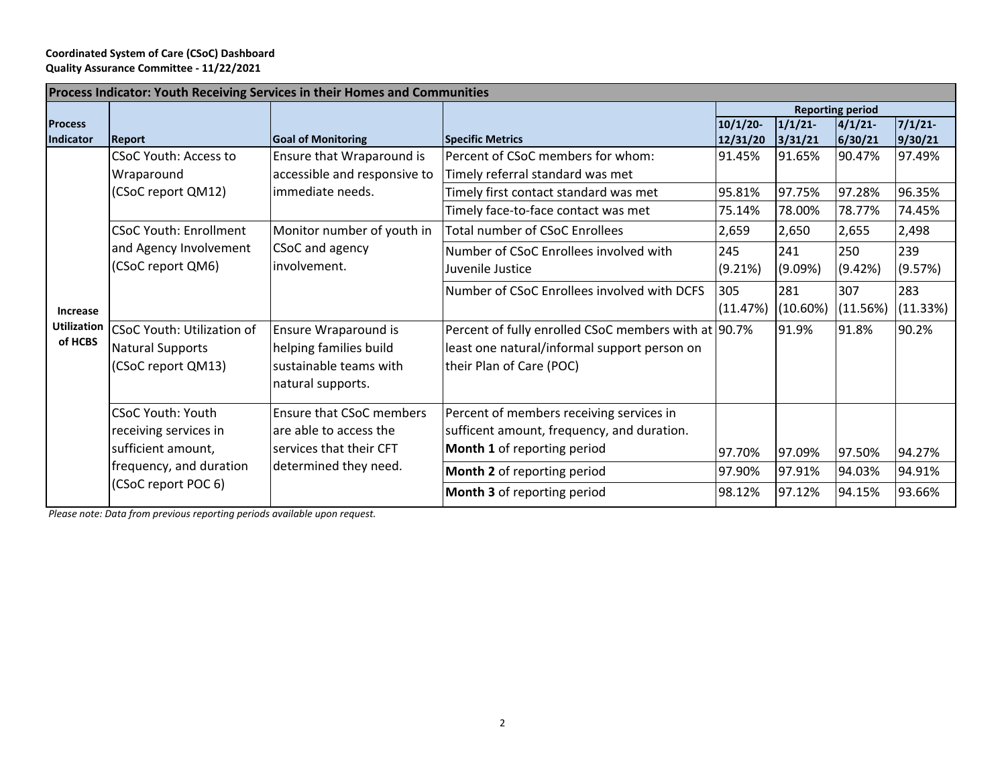## **Coordinated System of Care (CSoC) Dashboard Quality Assurance Committee - 11/22/2021**

| Process Indicator: Youth Receiving Services in their Homes and Communities |                                               |                                                                               |                                                      |                         |          |          |          |  |  |  |
|----------------------------------------------------------------------------|-----------------------------------------------|-------------------------------------------------------------------------------|------------------------------------------------------|-------------------------|----------|----------|----------|--|--|--|
|                                                                            |                                               |                                                                               |                                                      | <b>Reporting period</b> |          |          |          |  |  |  |
| <b>Process</b>                                                             |                                               |                                                                               |                                                      | 10/1/20                 | 1/1/21   | 4/1/21   | 7/1/21   |  |  |  |
| Indicator                                                                  | <b>Report</b>                                 | <b>Goal of Monitoring</b>                                                     | <b>Specific Metrics</b>                              | 12/31/20                | 3/31/21  | 6/30/21  | 9/30/21  |  |  |  |
| Increase<br><b>Utilization</b><br>of HCBS                                  | <b>CSoC Youth: Access to</b>                  | Ensure that Wraparound is<br>accessible and responsive to<br>immediate needs. | Percent of CSoC members for whom:                    | 91.45%                  | 91.65%   | 90.47%   | 97.49%   |  |  |  |
|                                                                            | Wraparound                                    |                                                                               | Timely referral standard was met                     |                         |          |          |          |  |  |  |
|                                                                            | (CSoC report QM12)                            |                                                                               | Timely first contact standard was met                | 95.81%                  | 97.75%   | 97.28%   | 96.35%   |  |  |  |
|                                                                            |                                               |                                                                               | Timely face-to-face contact was met                  | 75.14%                  | 78.00%   | 78.77%   | 74.45%   |  |  |  |
|                                                                            | <b>CSoC Youth: Enrollment</b>                 | Monitor number of youth in<br>CSoC and agency<br>involvement.                 | <b>Total number of CSoC Enrollees</b>                | 2,659                   | 2,650    | 2,655    | 2,498    |  |  |  |
|                                                                            | and Agency Involvement                        |                                                                               | Number of CSoC Enrollees involved with               | 245                     | 241      | 250      | 239      |  |  |  |
|                                                                            | (CSoC report QM6)                             |                                                                               | Juvenile Justice                                     | (9.21%)                 | (9.09%)  | (9.42%)  | (9.57%)  |  |  |  |
|                                                                            |                                               |                                                                               | Number of CSoC Enrollees involved with DCFS          | 305                     | 281      | 307      | 283      |  |  |  |
|                                                                            |                                               |                                                                               |                                                      | (11.47%)                | (10.60%) | (11.56%) | (11.33%) |  |  |  |
|                                                                            | CSoC Youth: Utilization of                    | Ensure Wraparound is                                                          | Percent of fully enrolled CSoC members with at 90.7% |                         | 91.9%    | 91.8%    | 90.2%    |  |  |  |
|                                                                            | Natural Supports                              | helping families build                                                        | least one natural/informal support person on         |                         |          |          |          |  |  |  |
|                                                                            | (CSoC report QM13)                            | sustainable teams with                                                        | their Plan of Care (POC)                             |                         |          |          |          |  |  |  |
|                                                                            | natural supports.                             |                                                                               |                                                      |                         |          |          |          |  |  |  |
|                                                                            | <b>CSoC Youth: Youth</b>                      | <b>Ensure that CSoC members</b>                                               | Percent of members receiving services in             |                         |          |          |          |  |  |  |
|                                                                            | receiving services in                         | are able to access the                                                        | sufficent amount, frequency, and duration.           |                         |          |          |          |  |  |  |
|                                                                            | sufficient amount,<br>frequency, and duration | services that their CFT<br>determined they need.                              | Month 1 of reporting period                          | 97.70%                  | 97.09%   | 97.50%   | 94.27%   |  |  |  |
|                                                                            |                                               |                                                                               | Month 2 of reporting period                          | 97.90%                  | 97.91%   | 94.03%   | 94.91%   |  |  |  |
|                                                                            | (CSoC report POC 6)                           |                                                                               | Month 3 of reporting period                          | 98.12%                  | 97.12%   | 94.15%   | 93.66%   |  |  |  |

*Please note: Data from previous reporting periods available upon request.*